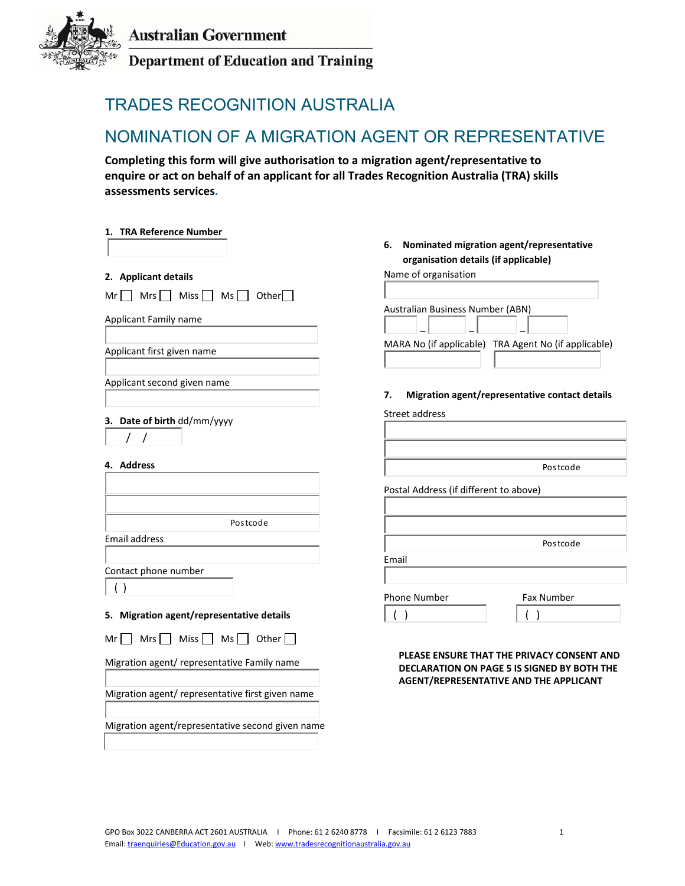

**Department of Education and Training** 

# TRADES RECOGNITION AUSTRALIA

## NOMINATION OF A MIGRATION AGENT OR REPRESENTATIVE

**Completing this form will give authorisation to a migration agent/representative to enquire or act on behalf of an applicant for all Trades Recognition Australia (TRA) skills assessments services.**

| 1. TRA Reference Number                                    | Nominated migration agent/representative<br>6.<br>organisation details (if applicable)                                                     |
|------------------------------------------------------------|--------------------------------------------------------------------------------------------------------------------------------------------|
| 2. Applicant details                                       | Name of organisation                                                                                                                       |
| $Ms \Box$ Other $\Box$<br>$Mrs$ Miss<br>Mr I               |                                                                                                                                            |
| Applicant Family name                                      | Australian Business Number (ABN)                                                                                                           |
| Applicant first given name                                 | MARA No (if applicable) TRA Agent No (if applicable)                                                                                       |
| Applicant second given name                                | Migration agent/representative contact details<br>7.                                                                                       |
| 3. Date of birth dd/mm/yyyy                                | Street address                                                                                                                             |
| $\prime$<br>$\prime$                                       |                                                                                                                                            |
| 4. Address                                                 | Postcode                                                                                                                                   |
|                                                            | Postal Address (if different to above)                                                                                                     |
| Postcode                                                   |                                                                                                                                            |
| Email address                                              | Postcode                                                                                                                                   |
|                                                            | Email                                                                                                                                      |
| Contact phone number                                       |                                                                                                                                            |
| ( )                                                        | Phone Number<br>Fax Number                                                                                                                 |
| 5. Migration agent/representative details                  | $\rightarrow$                                                                                                                              |
| Miss <sup>[</sup><br>Ms $\lceil$<br>Other<br>Mrs  <br>Mr I |                                                                                                                                            |
| Migration agent/ representative Family name                | PLEASE ENSURE THAT THE PRIVACY CONSENT AND<br>DECLARATION ON PAGE 5 IS SIGNED BY BOTH THE<br><b>AGENT/REPRESENTATIVE AND THE APPLICANT</b> |
| Migration agent/ representative first given name           |                                                                                                                                            |
| Migration agent/representative second given name           |                                                                                                                                            |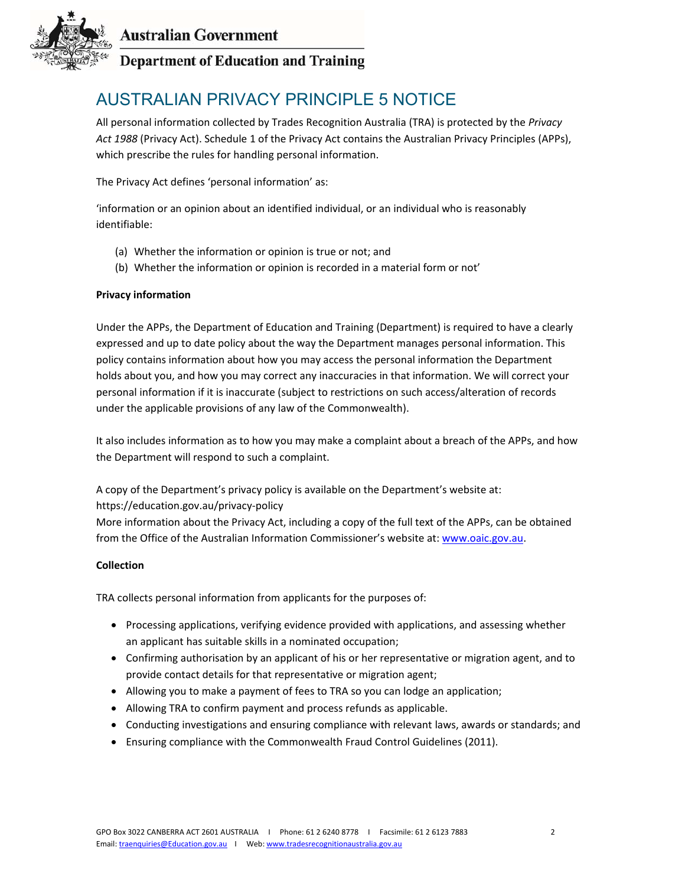

## **Department of Education and Training**

# AUSTRALIAN PRIVACY PRINCIPLE 5 NOTICE

All personal information collected by Trades Recognition Australia (TRA) is protected by the *Privacy Act 1988* (Privacy Act). Schedule 1 of the Privacy Act contains the Australian Privacy Principles (APPs), which prescribe the rules for handling personal information.

The Privacy Act defines 'personal information' as:

'information or an opinion about an identified individual, or an individual who is reasonably identifiable:

- (a) Whether the information or opinion is true or not; and
- (b) Whether the information or opinion is recorded in a material form or not'

#### **Privacy information**

Under the APPs, the Department of Education and Training (Department) is required to have a clearly expressed and up to date policy about the way the Department manages personal information. This policy contains information about how you may access the personal information the Department holds about you, and how you may correct any inaccuracies in that information. We will correct your personal information if it is inaccurate (subject to restrictions on such access/alteration of records under the applicable provisions of any law of the Commonwealth).

It also includes information as to how you may make a complaint about a breach of the APPs, and how the Department will respond to such a complaint.

A copy of the Department's privacy policy is available on the Department's website at:

#### https://education.gov.au/privacy‐policy

More information about the Privacy Act, including a copy of the full text of the APPs, can be obtained from the Office of the Australian Information Commissioner's website at: www.oaic.gov.au.

#### **Collection**

TRA collects personal information from applicants for the purposes of:

- Processing applications, verifying evidence provided with applications, and assessing whether an applicant has suitable skills in a nominated occupation;
- Confirming authorisation by an applicant of his or her representative or migration agent, and to provide contact details for that representative or migration agent;
- Allowing you to make a payment of fees to TRA so you can lodge an application;
- Allowing TRA to confirm payment and process refunds as applicable.
- Conducting investigations and ensuring compliance with relevant laws, awards or standards; and
- Ensuring compliance with the Commonwealth Fraud Control Guidelines (2011).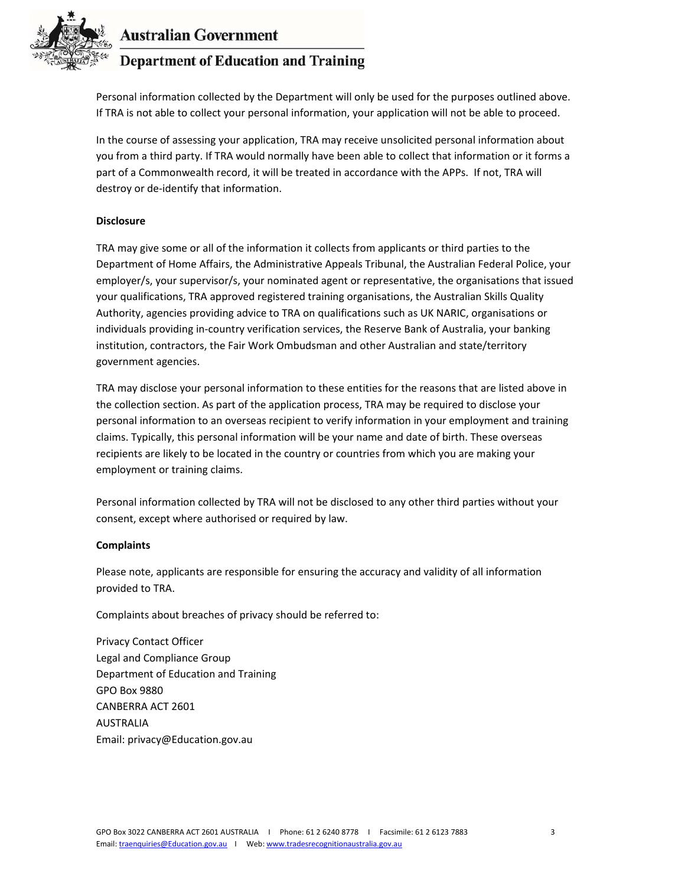

### **Department of Education and Training**

Personal information collected by the Department will only be used for the purposes outlined above. If TRA is not able to collect your personal information, your application will not be able to proceed.

In the course of assessing your application, TRA may receive unsolicited personal information about you from a third party. If TRA would normally have been able to collect that information or it forms a part of a Commonwealth record, it will be treated in accordance with the APPs. If not, TRA will destroy or de‐identify that information.

#### **Disclosure**

TRA may give some or all of the information it collects from applicants or third parties to the Department of Home Affairs, the Administrative Appeals Tribunal, the Australian Federal Police, your employer/s, your supervisor/s, your nominated agent or representative, the organisations that issued your qualifications, TRA approved registered training organisations, the Australian Skills Quality Authority, agencies providing advice to TRA on qualifications such as UK NARIC, organisations or individuals providing in‐country verification services, the Reserve Bank of Australia, your banking institution, contractors, the Fair Work Ombudsman and other Australian and state/territory government agencies.

TRA may disclose your personal information to these entities for the reasons that are listed above in the collection section. As part of the application process, TRA may be required to disclose your personal information to an overseas recipient to verify information in your employment and training claims. Typically, this personal information will be your name and date of birth. These overseas recipients are likely to be located in the country or countries from which you are making your employment or training claims.

Personal information collected by TRA will not be disclosed to any other third parties without your consent, except where authorised or required by law.

#### **Complaints**

Please note, applicants are responsible for ensuring the accuracy and validity of all information provided to TRA.

Complaints about breaches of privacy should be referred to:

Privacy Contact Officer Legal and Compliance Group Department of Education and Training GPO Box 9880 CANBERRA ACT 2601 AUSTRALIA Email: privacy@Education.gov.au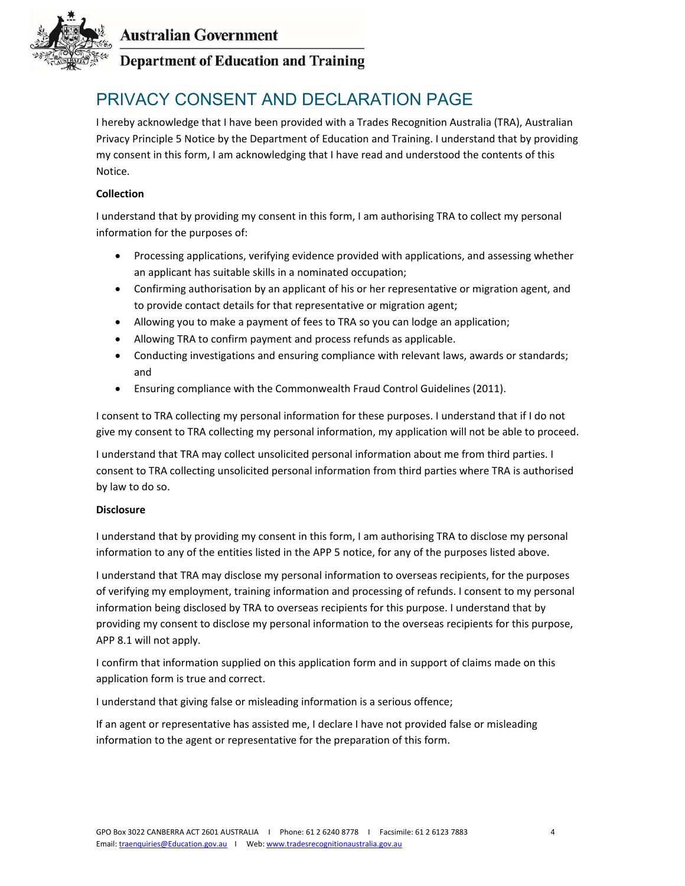

## **Department of Education and Training**

# PRIVACY CONSENT AND DECLARATION PAGE

I hereby acknowledge that I have been provided with a Trades Recognition Australia (TRA), Australian Privacy Principle 5 Notice by the Department of Education and Training. I understand that by providing my consent in this form, I am acknowledging that I have read and understood the contents of this Notice.

#### **Collection**

I understand that by providing my consent in this form, I am authorising TRA to collect my personal information for the purposes of:

- Processing applications, verifying evidence provided with applications, and assessing whether an applicant has suitable skills in a nominated occupation;
- Confirming authorisation by an applicant of his or her representative or migration agent, and to provide contact details for that representative or migration agent;
- Allowing you to make a payment of fees to TRA so you can lodge an application;
- Allowing TRA to confirm payment and process refunds as applicable.
- Conducting investigations and ensuring compliance with relevant laws, awards or standards; and
- Ensuring compliance with the Commonwealth Fraud Control Guidelines (2011).

I consent to TRA collecting my personal information for these purposes. I understand that if I do not give my consent to TRA collecting my personal information, my application will not be able to proceed.

I understand that TRA may collect unsolicited personal information about me from third parties. I consent to TRA collecting unsolicited personal information from third parties where TRA is authorised by law to do so.

#### **Disclosure**

I understand that by providing my consent in this form, I am authorising TRA to disclose my personal information to any of the entities listed in the APP 5 notice, for any of the purposes listed above.

I understand that TRA may disclose my personal information to overseas recipients, for the purposes of verifying my employment, training information and processing of refunds. I consent to my personal information being disclosed by TRA to overseas recipients for this purpose. I understand that by providing my consent to disclose my personal information to the overseas recipients for this purpose, APP 8.1 will not apply.

I confirm that information supplied on this application form and in support of claims made on this application form is true and correct.

I understand that giving false or misleading information is a serious offence;

If an agent or representative has assisted me, I declare I have not provided false or misleading information to the agent or representative for the preparation of this form.